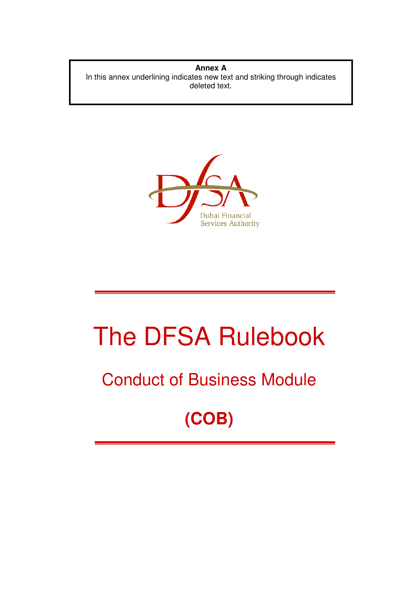**Annex A** In this annex underlining indicates new text and striking through indicates deleted text.



# The DFSA Rulebook

### Conduct of Business Module

## **(COB)**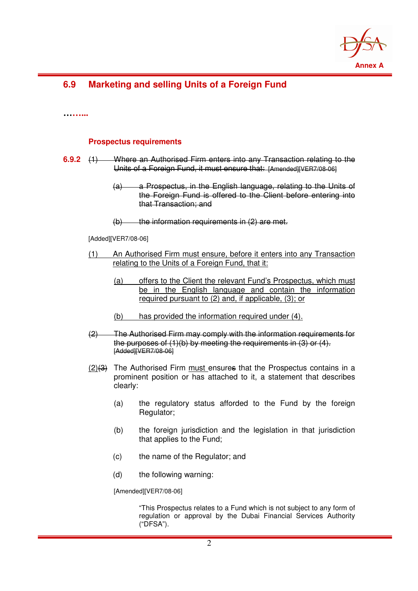

#### **6.9 Marketing and selling Units of a Foreign Fund**

**……...** 

#### **Prospectus requirements**

- **6.9.2** (1) Where an Authorised Firm enters into any Transaction relating to the Units of a Foreign Fund, it must ensure that: [Amended][VER7/08-06]
	- (a) a Prospectus, in the English language, relating to the Units of the Foreign Fund is offered to the Client before entering into that Transaction; and
	- $(b)$  the information requirements in  $(2)$  are met.

[Added][VER7/08-06]

- (1) An Authorised Firm must ensure, before it enters into any Transaction relating to the Units of a Foreign Fund, that it:
	- (a) offers to the Client the relevant Fund's Prospectus, which must be in the English language and contain the information required pursuant to (2) and, if applicable, (3); or
	- (b) has provided the information required under (4).
- (2) The Authorised Firm may comply with the information requirements for the purposes of (1)(b) by meeting the requirements in (3) or (4). [Added][VER7/08-06]
- $(2)(3)$  The Authorised Firm must ensures that the Prospectus contains in a prominent position or has attached to it, a statement that describes clearly:
	- (a) the regulatory status afforded to the Fund by the foreign Regulator;
	- (b) the foreign jurisdiction and the legislation in that jurisdiction that applies to the Fund;
	- (c) the name of the Regulator; and
	- (d) the following warning:

[Amended][VER7/08-06]

"This Prospectus relates to a Fund which is not subject to any form of regulation or approval by the Dubai Financial Services Authority ("DFSA").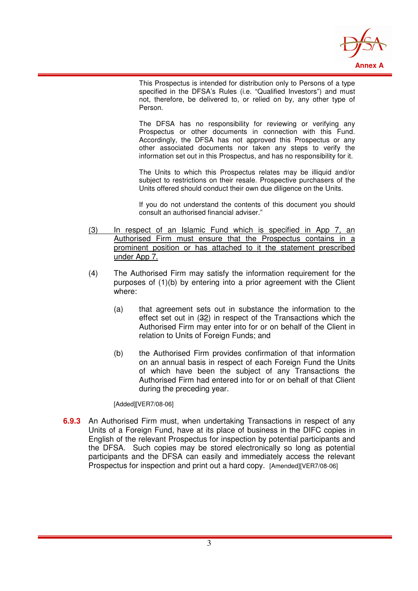

This Prospectus is intended for distribution only to Persons of a type specified in the DFSA's Rules (i.e. "Qualified Investors") and must not, therefore, be delivered to, or relied on by, any other type of Person.

The DFSA has no responsibility for reviewing or verifying any Prospectus or other documents in connection with this Fund. Accordingly, the DFSA has not approved this Prospectus or any other associated documents nor taken any steps to verify the information set out in this Prospectus, and has no responsibility for it.

The Units to which this Prospectus relates may be illiquid and/or subject to restrictions on their resale. Prospective purchasers of the Units offered should conduct their own due diligence on the Units.

If you do not understand the contents of this document you should consult an authorised financial adviser."

- (3) In respect of an Islamic Fund which is specified in App 7, an Authorised Firm must ensure that the Prospectus contains in a prominent position or has attached to it the statement prescribed under App 7.
- (4) The Authorised Firm may satisfy the information requirement for the purposes of (1)(b) by entering into a prior agreement with the Client where:
	- (a) that agreement sets out in substance the information to the effect set out in (32) in respect of the Transactions which the Authorised Firm may enter into for or on behalf of the Client in relation to Units of Foreign Funds; and
	- (b) the Authorised Firm provides confirmation of that information on an annual basis in respect of each Foreign Fund the Units of which have been the subject of any Transactions the Authorised Firm had entered into for or on behalf of that Client during the preceding year.

[Added][VER7/08-06]

**6.9.3** An Authorised Firm must, when undertaking Transactions in respect of any Units of a Foreign Fund, have at its place of business in the DIFC copies in English of the relevant Prospectus for inspection by potential participants and the DFSA. Such copies may be stored electronically so long as potential participants and the DFSA can easily and immediately access the relevant Prospectus for inspection and print out a hard copy. [Amended][VER7/08-06]